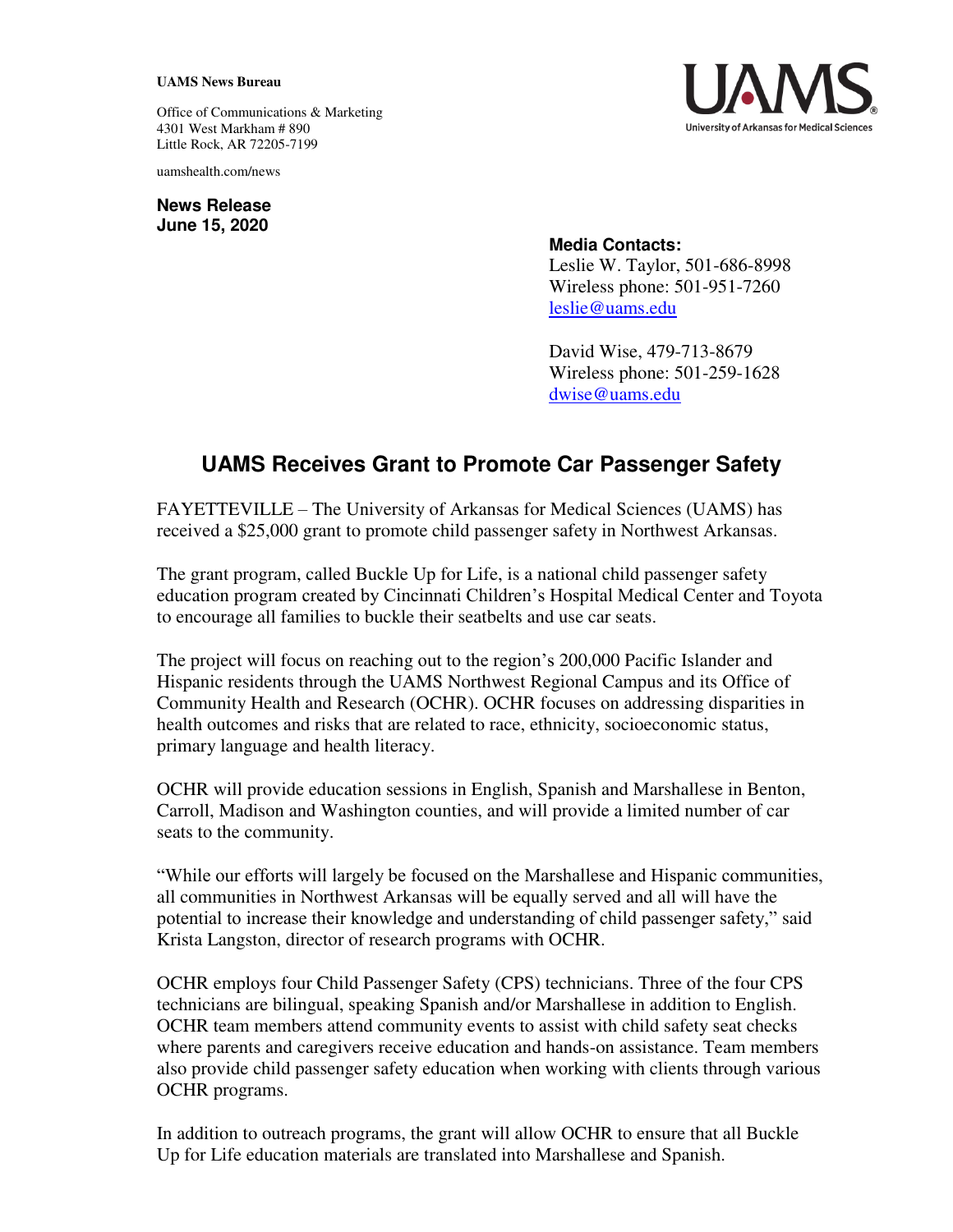## **UAMS News Bureau**

Office of Communications & Marketing 4301 West Markham # 890 Little Rock, AR 72205-7199

uamshealth.com/news

**News Release June 15, 2020**



## **Media Contacts:**

Leslie W. Taylor, 501-686-8998 Wireless phone: 501-951-7260 [leslie@uams.edu](mailto:leslie@uams.edu)

David Wise, 479-713-8679 Wireless phone: 501-259-1628 [dwise@uams.edu](mailto:dwise@uams.edu)

## **UAMS Receives Grant to Promote Car Passenger Safety**

FAYETTEVILLE – The University of Arkansas for Medical Sciences (UAMS) has received a \$25,000 grant to promote child passenger safety in Northwest Arkansas.

The grant program, called Buckle Up for Life, is a national child passenger safety education program created by Cincinnati Children's Hospital Medical Center and Toyota to encourage all families to buckle their seatbelts and use car seats.

The project will focus on reaching out to the region's 200,000 Pacific Islander and Hispanic residents through the UAMS Northwest Regional Campus and its Office of Community Health and Research (OCHR). OCHR focuses on addressing disparities in health outcomes and risks that are related to race, ethnicity, socioeconomic status, primary language and health literacy.

OCHR will provide education sessions in English, Spanish and Marshallese in Benton, Carroll, Madison and Washington counties, and will provide a limited number of car seats to the community.

"While our efforts will largely be focused on the Marshallese and Hispanic communities, all communities in Northwest Arkansas will be equally served and all will have the potential to increase their knowledge and understanding of child passenger safety," said Krista Langston, director of research programs with OCHR.

OCHR employs four Child Passenger Safety (CPS) technicians. Three of the four CPS technicians are bilingual, speaking Spanish and/or Marshallese in addition to English. OCHR team members attend community events to assist with child safety seat checks where parents and caregivers receive education and hands-on assistance. Team members also provide child passenger safety education when working with clients through various OCHR programs.

In addition to outreach programs, the grant will allow OCHR to ensure that all Buckle Up for Life education materials are translated into Marshallese and Spanish.